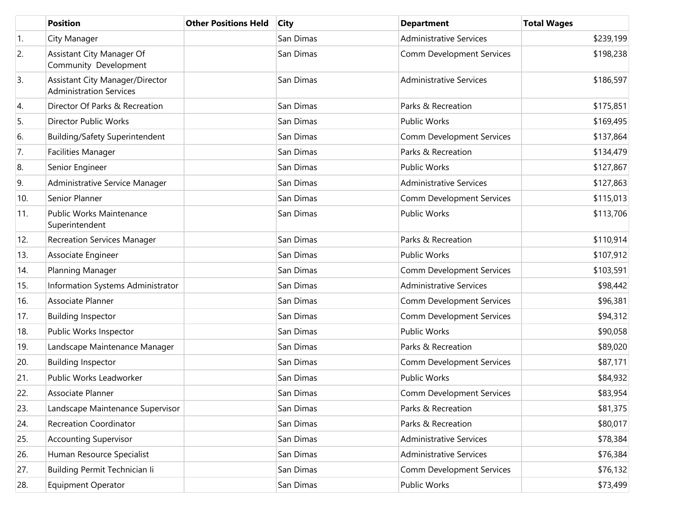|     | <b>Position</b>                                                   | <b>Other Positions Held</b> | <b>City</b> | <b>Department</b>                | <b>Total Wages</b> |
|-----|-------------------------------------------------------------------|-----------------------------|-------------|----------------------------------|--------------------|
| 1.  | City Manager                                                      |                             | San Dimas   | <b>Administrative Services</b>   | \$239,199          |
| 2.  | Assistant City Manager Of<br>Community Development                |                             | San Dimas   | Comm Development Services        | \$198,238          |
| 3.  | Assistant City Manager/Director<br><b>Administration Services</b> |                             | San Dimas   | <b>Administrative Services</b>   | \$186,597          |
| 4.  | Director Of Parks & Recreation                                    |                             | San Dimas   | Parks & Recreation               | \$175,851          |
| 5.  | Director Public Works                                             |                             | San Dimas   | Public Works                     | \$169,495          |
| 6.  | Building/Safety Superintendent                                    |                             | San Dimas   | <b>Comm Development Services</b> | \$137,864          |
| 7.  | <b>Facilities Manager</b>                                         |                             | San Dimas   | Parks & Recreation               | \$134,479          |
| 8.  | Senior Engineer                                                   |                             | San Dimas   | <b>Public Works</b>              | \$127,867          |
| 9.  | Administrative Service Manager                                    |                             | San Dimas   | <b>Administrative Services</b>   | \$127,863          |
| 10. | Senior Planner                                                    |                             | San Dimas   | <b>Comm Development Services</b> | \$115,013          |
| 11. | Public Works Maintenance<br>Superintendent                        |                             | San Dimas   | Public Works                     | \$113,706          |
| 12. | <b>Recreation Services Manager</b>                                |                             | San Dimas   | Parks & Recreation               | \$110,914          |
| 13. | Associate Engineer                                                |                             | San Dimas   | Public Works                     | \$107,912          |
| 14. | Planning Manager                                                  |                             | San Dimas   | <b>Comm Development Services</b> | \$103,591          |
| 15. | Information Systems Administrator                                 |                             | San Dimas   | <b>Administrative Services</b>   | \$98,442           |
| 16. | Associate Planner                                                 |                             | San Dimas   | Comm Development Services        | \$96,381           |
| 17. | <b>Building Inspector</b>                                         |                             | San Dimas   | Comm Development Services        | \$94,312           |
| 18. | Public Works Inspector                                            |                             | San Dimas   | <b>Public Works</b>              | \$90,058           |
| 19. | Landscape Maintenance Manager                                     |                             | San Dimas   | Parks & Recreation               | \$89,020           |
| 20. | <b>Building Inspector</b>                                         |                             | San Dimas   | <b>Comm Development Services</b> | \$87,171           |
| 21. | Public Works Leadworker                                           |                             | San Dimas   | Public Works                     | \$84,932           |
| 22. | Associate Planner                                                 |                             | San Dimas   | <b>Comm Development Services</b> | \$83,954           |
| 23. | Landscape Maintenance Supervisor                                  |                             | San Dimas   | Parks & Recreation               | \$81,375           |
| 24. | <b>Recreation Coordinator</b>                                     |                             | San Dimas   | Parks & Recreation               | \$80,017           |
| 25. | <b>Accounting Supervisor</b>                                      |                             | San Dimas   | <b>Administrative Services</b>   | \$78,384           |
| 26. | Human Resource Specialist                                         |                             | San Dimas   | <b>Administrative Services</b>   | \$76,384           |
| 27. | Building Permit Technician li                                     |                             | San Dimas   | Comm Development Services        | \$76,132           |
| 28. | Equipment Operator                                                |                             | San Dimas   | Public Works                     | \$73,499           |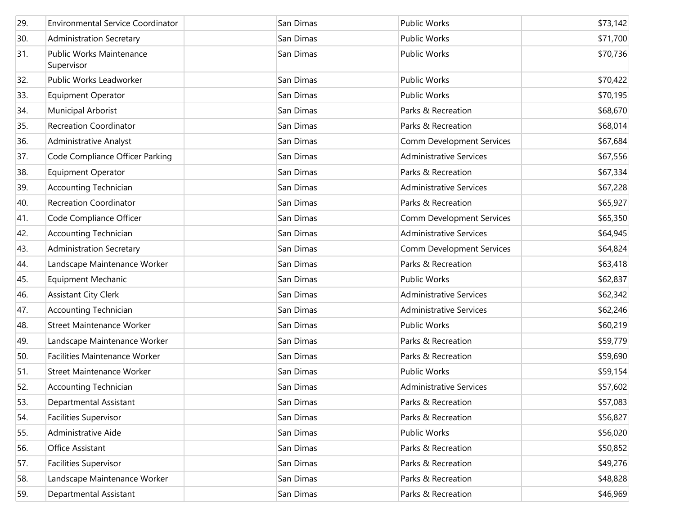| 29. | <b>Environmental Service Coordinator</b> | San Dimas | <b>Public Works</b>              | \$73,142 |
|-----|------------------------------------------|-----------|----------------------------------|----------|
| 30. | <b>Administration Secretary</b>          | San Dimas | <b>Public Works</b>              | \$71,700 |
| 31. | Public Works Maintenance<br>Supervisor   | San Dimas | <b>Public Works</b>              | \$70,736 |
| 32. | Public Works Leadworker                  | San Dimas | <b>Public Works</b>              | \$70,422 |
| 33. | <b>Equipment Operator</b>                | San Dimas | <b>Public Works</b>              | \$70,195 |
| 34. | Municipal Arborist                       | San Dimas | Parks & Recreation               | \$68,670 |
| 35. | <b>Recreation Coordinator</b>            | San Dimas | Parks & Recreation               | \$68,014 |
| 36. | Administrative Analyst                   | San Dimas | Comm Development Services        | \$67,684 |
| 37. | Code Compliance Officer Parking          | San Dimas | <b>Administrative Services</b>   | \$67,556 |
| 38. | Equipment Operator                       | San Dimas | Parks & Recreation               | \$67,334 |
| 39. | <b>Accounting Technician</b>             | San Dimas | <b>Administrative Services</b>   | \$67,228 |
| 40. | <b>Recreation Coordinator</b>            | San Dimas | Parks & Recreation               | \$65,927 |
| 41. | Code Compliance Officer                  | San Dimas | <b>Comm Development Services</b> | \$65,350 |
| 42. | <b>Accounting Technician</b>             | San Dimas | <b>Administrative Services</b>   | \$64,945 |
| 43. | <b>Administration Secretary</b>          | San Dimas | Comm Development Services        | \$64,824 |
| 44. | Landscape Maintenance Worker             | San Dimas | Parks & Recreation               | \$63,418 |
| 45. | <b>Equipment Mechanic</b>                | San Dimas | <b>Public Works</b>              | \$62,837 |
| 46. | <b>Assistant City Clerk</b>              | San Dimas | <b>Administrative Services</b>   | \$62,342 |
| 47. | <b>Accounting Technician</b>             | San Dimas | <b>Administrative Services</b>   | \$62,246 |
| 48. | <b>Street Maintenance Worker</b>         | San Dimas | <b>Public Works</b>              | \$60,219 |
| 49. | Landscape Maintenance Worker             | San Dimas | Parks & Recreation               | \$59,779 |
| 50. | <b>Facilities Maintenance Worker</b>     | San Dimas | Parks & Recreation               | \$59,690 |
| 51. | Street Maintenance Worker                | San Dimas | <b>Public Works</b>              | \$59,154 |
| 52. | <b>Accounting Technician</b>             | San Dimas | <b>Administrative Services</b>   | \$57,602 |
| 53. | Departmental Assistant                   | San Dimas | Parks & Recreation               | \$57,083 |
| 54. | <b>Facilities Supervisor</b>             | San Dimas | Parks & Recreation               | \$56,827 |
| 55. | Administrative Aide                      | San Dimas | Public Works                     | \$56,020 |
| 56. | Office Assistant                         | San Dimas | Parks & Recreation               | \$50,852 |
| 57. | <b>Facilities Supervisor</b>             | San Dimas | Parks & Recreation               | \$49,276 |
| 58. | Landscape Maintenance Worker             | San Dimas | Parks & Recreation               | \$48,828 |
| 59. | Departmental Assistant                   | San Dimas | Parks & Recreation               | \$46,969 |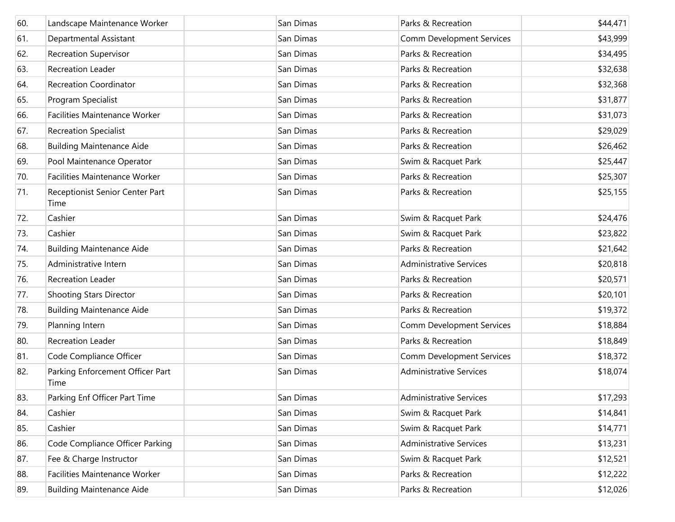| 60. | Landscape Maintenance Worker             | San Dimas | Parks & Recreation               | \$44,471 |
|-----|------------------------------------------|-----------|----------------------------------|----------|
| 61. | Departmental Assistant                   | San Dimas | Comm Development Services        | \$43,999 |
| 62. | <b>Recreation Supervisor</b>             | San Dimas | Parks & Recreation               | \$34,495 |
| 63. | <b>Recreation Leader</b>                 | San Dimas | Parks & Recreation               | \$32,638 |
| 64. | <b>Recreation Coordinator</b>            | San Dimas | Parks & Recreation               | \$32,368 |
| 65. | Program Specialist                       | San Dimas | Parks & Recreation               | \$31,877 |
| 66. | Facilities Maintenance Worker            | San Dimas | Parks & Recreation               | \$31,073 |
| 67. | <b>Recreation Specialist</b>             | San Dimas | Parks & Recreation               | \$29,029 |
| 68. | <b>Building Maintenance Aide</b>         | San Dimas | Parks & Recreation               | \$26,462 |
| 69. | Pool Maintenance Operator                | San Dimas | Swim & Racquet Park              | \$25,447 |
| 70. | Facilities Maintenance Worker            | San Dimas | Parks & Recreation               | \$25,307 |
| 71. | Receptionist Senior Center Part<br>Time  | San Dimas | Parks & Recreation               | \$25,155 |
| 72. | Cashier                                  | San Dimas | Swim & Racquet Park              | \$24,476 |
| 73. | Cashier                                  | San Dimas | Swim & Racquet Park              | \$23,822 |
| 74. | <b>Building Maintenance Aide</b>         | San Dimas | Parks & Recreation               | \$21,642 |
| 75. | Administrative Intern                    | San Dimas | <b>Administrative Services</b>   | \$20,818 |
| 76. | <b>Recreation Leader</b>                 | San Dimas | Parks & Recreation               | \$20,571 |
| 77. | <b>Shooting Stars Director</b>           | San Dimas | Parks & Recreation               | \$20,101 |
| 78. | <b>Building Maintenance Aide</b>         | San Dimas | Parks & Recreation               | \$19,372 |
| 79. | Planning Intern                          | San Dimas | Comm Development Services        | \$18,884 |
| 80. | <b>Recreation Leader</b>                 | San Dimas | Parks & Recreation               | \$18,849 |
| 81. | Code Compliance Officer                  | San Dimas | <b>Comm Development Services</b> | \$18,372 |
| 82. | Parking Enforcement Officer Part<br>Time | San Dimas | <b>Administrative Services</b>   | \$18,074 |
| 83. | Parking Enf Officer Part Time            | San Dimas | <b>Administrative Services</b>   | \$17,293 |
| 84. | Cashier                                  | San Dimas | Swim & Racquet Park              | \$14,841 |
| 85. | Cashier                                  | San Dimas | Swim & Racquet Park              | \$14,771 |
| 86. | Code Compliance Officer Parking          | San Dimas | <b>Administrative Services</b>   | \$13,231 |
| 87. | Fee & Charge Instructor                  | San Dimas | Swim & Racquet Park              | \$12,521 |
| 88. | Facilities Maintenance Worker            | San Dimas | Parks & Recreation               | \$12,222 |
| 89. | <b>Building Maintenance Aide</b>         | San Dimas | Parks & Recreation               | \$12,026 |